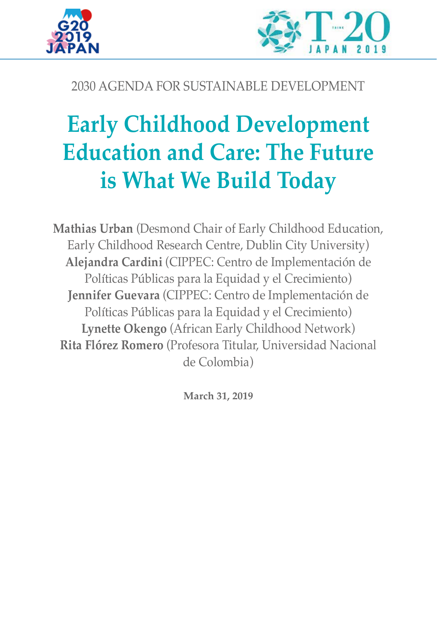



# 2030 AGENDA FOR SUSTAINABLE DEVELOPMENT

# **Early Childhood Development Education and Care: The Future is What We Build Today**

**Mathias Urban** (Desmond Chair of Early Childhood Education, Early Childhood Research Centre, Dublin City University) **Alejandra Cardini** (CIPPEC: Centro de Implementación de Políticas Públicas para la Equidad y el Crecimiento) **Jennifer Guevara** (CIPPEC: Centro de Implementación de Políticas Públicas para la Equidad y el Crecimiento) **Lynette Okengo** (African Early Childhood Network) **Rita Flórez Romero** (Profesora Titular, Universidad Nacional de Colombia)

**March 31, 2019**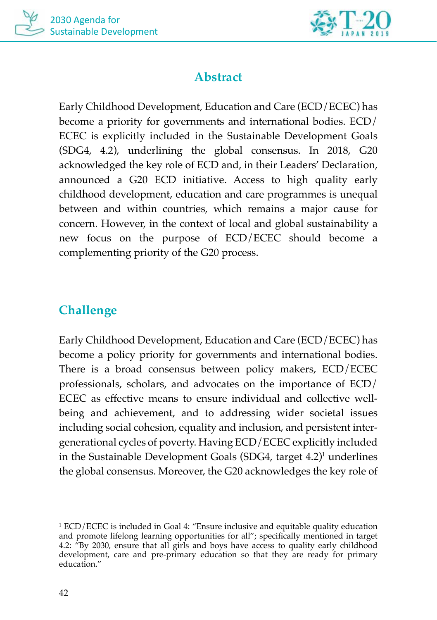



## **Abstract**

Early Childhood Development, Education and Care (ECD/ECEC) has become a priority for governments and international bodies. ECD/ ECEC is explicitly included in the Sustainable Development Goals (SDG4, 4.2), underlining the global consensus. In 2018, G20 acknowledged the key role of ECD and, in their Leaders' Declaration, announced a G20 ECD initiative. Access to high quality early childhood development, education and care programmes is unequal between and within countries, which remains a major cause for concern. However, in the context of local and global sustainability a new focus on the purpose of ECD/ECEC should become a complementing priority of the G20 process.

# **Challenge**

Early Childhood Development, Education and Care (ECD/ECEC) has become a policy priority for governments and international bodies. There is a broad consensus between policy makers, ECD/ECEC professionals, scholars, and advocates on the importance of ECD/ ECEC as effective means to ensure individual and collective wellbeing and achievement, and to addressing wider societal issues including social cohesion, equality and inclusion, and persistent intergenerational cycles of poverty. Having ECD/ECEC explicitly included in the Sustainable Development Goals (SDG4, target 4.2)<sup>1</sup> underlines the global consensus. Moreover, the G20 acknowledges the key role of

<sup>1</sup> ECD/ECEC is included in Goal 4: "Ensure inclusive and equitable quality education and promote lifelong learning opportunities for all"; specifically mentioned in target 4.2: "By 2030, ensure that all girls and boys have access to quality early childhood development, care and pre-primary education so that they are ready for primary education."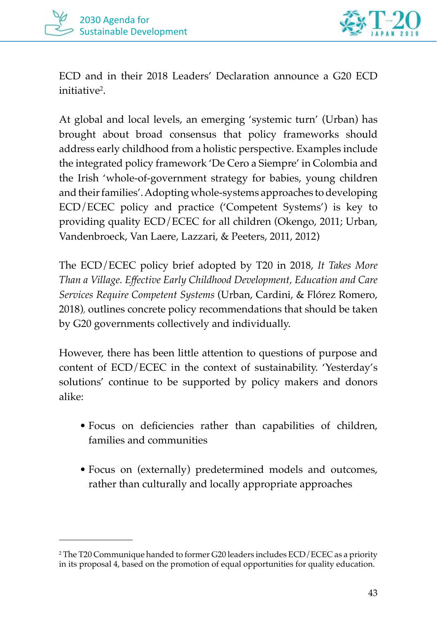



ECD and in their 2018 Leaders' Declaration announce a G20 ECD initiative<sup>2</sup>.

At global and local levels, an emerging 'systemic turn' (Urban) has brought about broad consensus that policy frameworks should address early childhood from a holistic perspective. Examples include the integrated policy framework 'De Cero a Siempre' in Colombia and the Irish 'whole-of-government strategy for babies, young children and their families'. Adopting whole-systems approaches to developing ECD/ECEC policy and practice ('Competent Systems') is key to providing quality ECD/ECEC for all children (Okengo, 2011; Urban, Vandenbroeck, Van Laere, Lazzari, & Peeters, 2011, 2012)

The ECD/ECEC policy brief adopted by T20 in 2018, *It Takes More Than a Village. Effective Early Childhood Development, Education and Care Services Require Competent Systems* (Urban, Cardini, & Flórez Romero, 2018), outlines concrete policy recommendations that should be taken by G20 governments collectively and individually.

However, there has been little attention to questions of purpose and content of ECD/ECEC in the context of sustainability. 'Yesterday's solutions' continue to be supported by policy makers and donors alike:

- Focus on deficiencies rather than capabilities of children, families and communities
- Focus on (externally) predetermined models and outcomes, rather than culturally and locally appropriate approaches

<sup>2</sup> The T20 Communique handed to former G20 leaders includes ECD/ECEC as a priority in its proposal 4, based on the promotion of equal opportunities for quality education.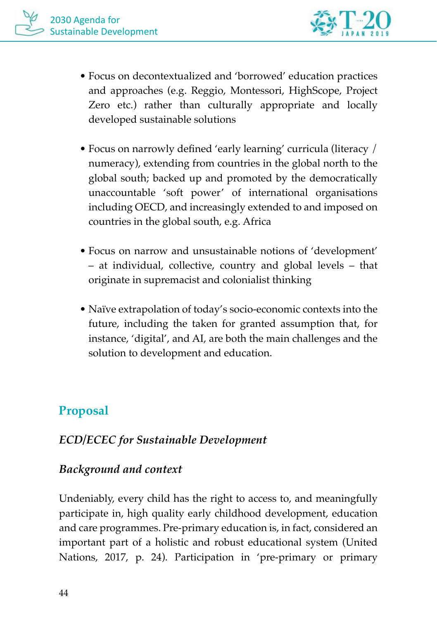

- Focus on decontextualized and 'borrowed' education practices and approaches (e.g. Reggio, Montessori, HighScope, Project Zero etc.) rather than culturally appropriate and locally developed sustainable solutions
- Focus on narrowly defined 'early learning' curricula (literacy / numeracy), extending from countries in the global north to the global south; backed up and promoted by the democratically unaccountable 'soft power' of international organisations including OECD, and increasingly extended to and imposed on countries in the global south, e.g. Africa
- Focus on narrow and unsustainable notions of 'development' – at individual, collective, country and global levels – that originate in supremacist and colonialist thinking
- Naïve extrapolation of today's socio-economic contexts into the future, including the taken for granted assumption that, for instance, 'digital', and AI, are both the main challenges and the solution to development and education.

# **Proposal**

## *ECD/ECEC for Sustainable Development*

## *Background and context*

Undeniably, every child has the right to access to, and meaningfully participate in, high quality early childhood development, education and care programmes. Pre-primary education is, in fact, considered an important part of a holistic and robust educational system (United Nations, 2017, p. 24). Participation in 'pre-primary or primary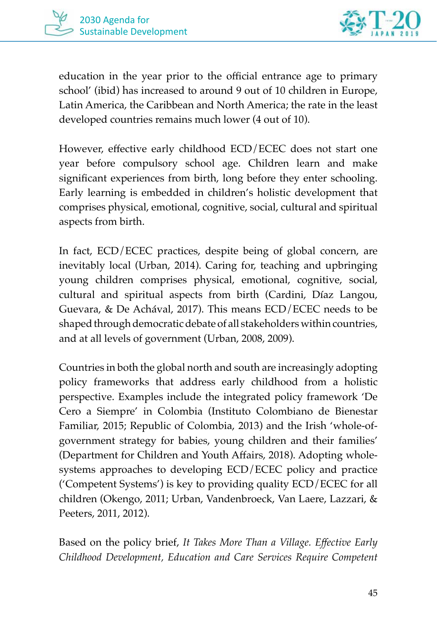



education in the year prior to the official entrance age to primary school' (ibid) has increased to around 9 out of 10 children in Europe, Latin America, the Caribbean and North America; the rate in the least developed countries remains much lower (4 out of 10).

However, effective early childhood ECD/ECEC does not start one year before compulsory school age. Children learn and make significant experiences from birth, long before they enter schooling. Early learning is embedded in children's holistic development that comprises physical, emotional, cognitive, social, cultural and spiritual aspects from birth.

In fact, ECD/ECEC practices, despite being of global concern, are inevitably local (Urban, 2014). Caring for, teaching and upbringing young children comprises physical, emotional, cognitive, social, cultural and spiritual aspects from birth (Cardini, Díaz Langou, Guevara, & De Achával, 2017). This means ECD/ECEC needs to be shaped through democratic debate of all stakeholders within countries, and at all levels of government (Urban, 2008, 2009).

Countries in both the global north and south are increasingly adopting policy frameworks that address early childhood from a holistic perspective. Examples include the integrated policy framework 'De Cero a Siempre' in Colombia (Instituto Colombiano de Bienestar Familiar, 2015; Republic of Colombia, 2013) and the Irish 'whole-ofgovernment strategy for babies, young children and their families' (Department for Children and Youth Affairs, 2018). Adopting wholesystems approaches to developing ECD/ECEC policy and practice ('Competent Systems') is key to providing quality ECD/ECEC for all children (Okengo, 2011; Urban, Vandenbroeck, Van Laere, Lazzari, & Peeters, 2011, 2012).

Based on the policy brief, *It Takes More Than a Village. Effective Early Childhood Development, Education and Care Services Require Competent*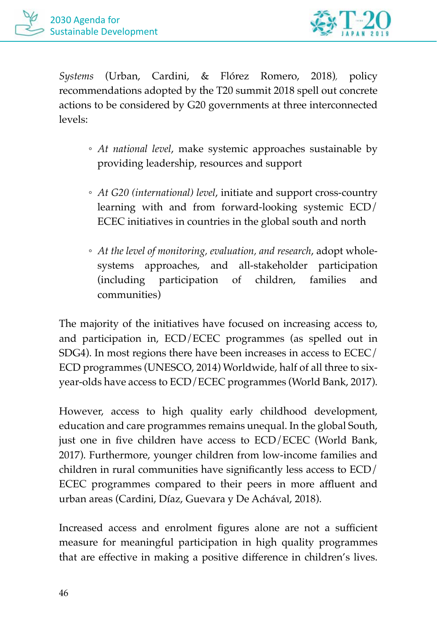

*Systems* (Urban, Cardini, & Flórez Romero, 2018), policy recommendations adopted by the T20 summit 2018 spell out concrete actions to be considered by G20 governments at three interconnected levels:

- *At national level*, make systemic approaches sustainable by providing leadership, resources and support
- *At G20 (international) level*, initiate and support cross-country learning with and from forward-looking systemic ECD/ ECEC initiatives in countries in the global south and north
- *At the level of monitoring, evaluation, and research*, adopt wholesystems approaches, and all-stakeholder participation (including participation of children, families and communities)

The majority of the initiatives have focused on increasing access to, and participation in, ECD/ECEC programmes (as spelled out in SDG4). In most regions there have been increases in access to ECEC/ ECD programmes (UNESCO, 2014) Worldwide, half of all three to sixyear-olds have access to ECD/ECEC programmes (World Bank, 2017).

However, access to high quality early childhood development, education and care programmes remains unequal. In the global South, just one in five children have access to ECD/ECEC (World Bank, 2017). Furthermore, younger children from low-income families and children in rural communities have significantly less access to ECD/ ECEC programmes compared to their peers in more affluent and urban areas (Cardini, Díaz, Guevara y De Achával, 2018).

Increased access and enrolment figures alone are not a sufficient measure for meaningful participation in high quality programmes that are effective in making a positive difference in children's lives.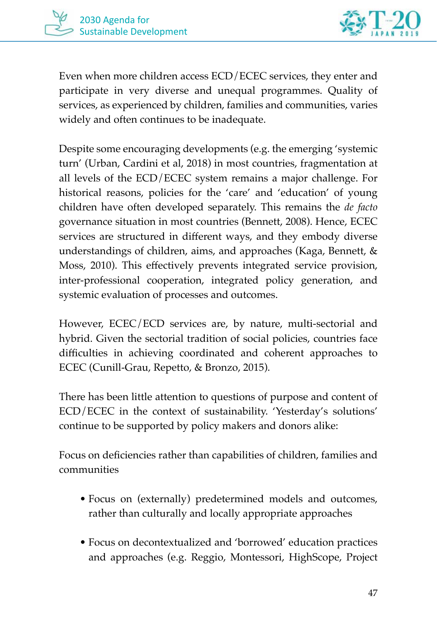

Even when more children access ECD/ECEC services, they enter and participate in very diverse and unequal programmes. Quality of services, as experienced by children, families and communities, varies widely and often continues to be inadequate.

Despite some encouraging developments (e.g. the emerging 'systemic turn' (Urban, Cardini et al, 2018) in most countries, fragmentation at all levels of the ECD/ECEC system remains a major challenge. For historical reasons, policies for the 'care' and 'education' of young children have often developed separately. This remains the *de facto* governance situation in most countries (Bennett, 2008). Hence, ECEC services are structured in different ways, and they embody diverse understandings of children, aims, and approaches (Kaga, Bennett, & Moss, 2010). This effectively prevents integrated service provision, inter-professional cooperation, integrated policy generation, and systemic evaluation of processes and outcomes.

However, ECEC/ECD services are, by nature, multi-sectorial and hybrid. Given the sectorial tradition of social policies, countries face difficulties in achieving coordinated and coherent approaches to ECEC (Cunill-Grau, Repetto, & Bronzo, 2015).

There has been little attention to questions of purpose and content of ECD/ECEC in the context of sustainability. 'Yesterday's solutions' continue to be supported by policy makers and donors alike:

Focus on deficiencies rather than capabilities of children, families and communities

- Focus on (externally) predetermined models and outcomes, rather than culturally and locally appropriate approaches
- Focus on decontextualized and 'borrowed' education practices and approaches (e.g. Reggio, Montessori, HighScope, Project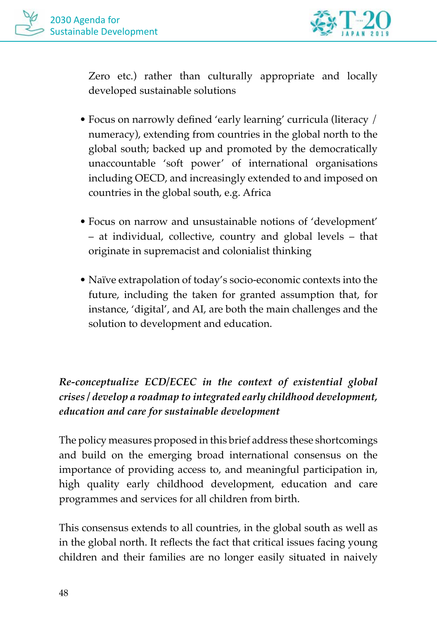

Zero etc.) rather than culturally appropriate and locally developed sustainable solutions

- Focus on narrowly defined 'early learning' curricula (literacy / numeracy), extending from countries in the global north to the global south; backed up and promoted by the democratically unaccountable 'soft power' of international organisations including OECD, and increasingly extended to and imposed on countries in the global south, e.g. Africa
- Focus on narrow and unsustainable notions of 'development' – at individual, collective, country and global levels – that originate in supremacist and colonialist thinking
- Naïve extrapolation of today's socio-economic contexts into the future, including the taken for granted assumption that, for instance, 'digital', and AI, are both the main challenges and the solution to development and education.

#### *Re-conceptualize ECD/ECEC in the context of existential global crises / develop a roadmap to integrated early childhood development, education and care for sustainable development*

The policy measures proposed in this brief address these shortcomings and build on the emerging broad international consensus on the importance of providing access to, and meaningful participation in, high quality early childhood development, education and care programmes and services for all children from birth.

This consensus extends to all countries, in the global south as well as in the global north. It reflects the fact that critical issues facing young children and their families are no longer easily situated in naively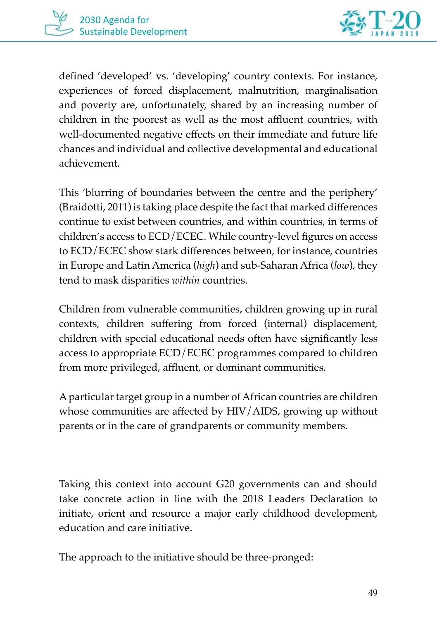



defined 'developed' vs. 'developing' country contexts. For instance, experiences of forced displacement, malnutrition, marginalisation and poverty are, unfortunately, shared by an increasing number of children in the poorest as well as the most affluent countries, with well-documented negative effects on their immediate and future life chances and individual and collective developmental and educational achievement.

This 'blurring of boundaries between the centre and the periphery' (Braidotti, 2011) is taking place despite the fact that marked differences continue to exist between countries, and within countries, in terms of children's access to ECD/ECEC. While country-level figures on access to ECD/ECEC show stark differences between, for instance, countries in Europe and Latin America (*high*) and sub-Saharan Africa (*low*), they tend to mask disparities *within* countries.

Children from vulnerable communities, children growing up in rural contexts, children suffering from forced (internal) displacement, children with special educational needs often have significantly less access to appropriate ECD/ECEC programmes compared to children from more privileged, affluent, or dominant communities.

A particular target group in a number of African countries are children whose communities are affected by HIV/AIDS, growing up without parents or in the care of grandparents or community members.

Taking this context into account G20 governments can and should take concrete action in line with the 2018 Leaders Declaration to initiate, orient and resource a major early childhood development, education and care initiative.

The approach to the initiative should be three-pronged: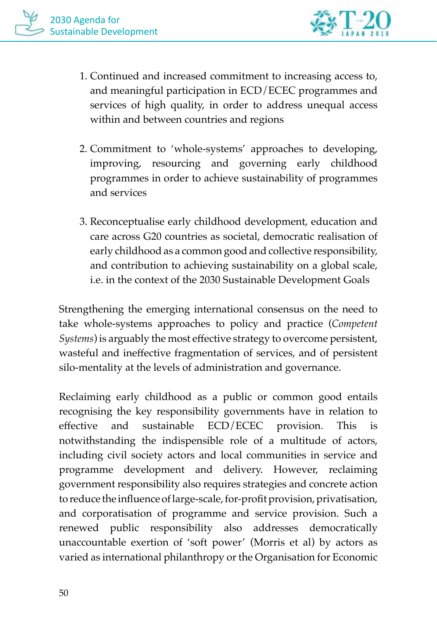

- 1. Continued and increased commitment to increasing access to, and meaningful participation in ECD/ECEC programmes and services of high quality, in order to address unequal access within and between countries and regions
- 2. Commitment to 'whole-systems' approaches to developing, improving, resourcing and governing early childhood programmes in order to achieve sustainability of programmes and services
- 3. Reconceptualise early childhood development, education and care across G20 countries as societal, democratic realisation of early childhood as a common good and collective responsibility, and contribution to achieving sustainability on a global scale, i.e. in the context of the 2030 Sustainable Development Goals

Strengthening the emerging international consensus on the need to take whole-systems approaches to policy and practice (*Competent Systems*) is arguably the most effective strategy to overcome persistent, wasteful and ineffective fragmentation of services, and of persistent silo-mentality at the levels of administration and governance.

Reclaiming early childhood as a public or common good entails recognising the key responsibility governments have in relation to effective and sustainable ECD/ECEC provision. This is notwithstanding the indispensible role of a multitude of actors, including civil society actors and local communities in service and programme development and delivery. However, reclaiming government responsibility also requires strategies and concrete action to reduce the influence of large-scale, for-profit provision, privatisation, and corporatisation of programme and service provision. Such a renewed public responsibility also addresses democratically unaccountable exertion of 'soft power' (Morris et al) by actors as varied as international philanthropy or the Organisation for Economic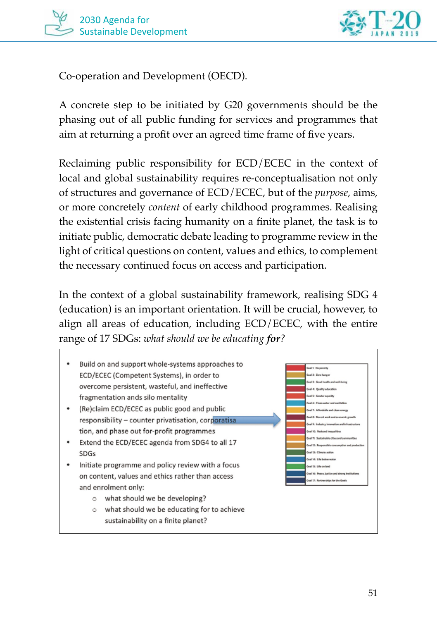



Co-operation and Development (OECD).

A concrete step to be initiated by G20 governments should be the phasing out of all public funding for services and programmes that aim at returning a profit over an agreed time frame of five years.

Reclaiming public responsibility for ECD/ECEC in the context of local and global sustainability requires re-conceptualisation not only of structures and governance of ECD/ECEC, but of the *purpose*, aims, or more concretely *content* of early childhood programmes. Realising the existential crisis facing humanity on a finite planet, the task is to initiate public, democratic debate leading to programme review in the light of critical questions on content, values and ethics, to complement the necessary continued focus on access and participation.

In the context of a global sustainability framework, realising SDG 4 (education) is an important orientation. It will be crucial, however, to align all areas of education, including ECD/ECEC, with the entire range of 17 SDGs: *what should we be educating for?*

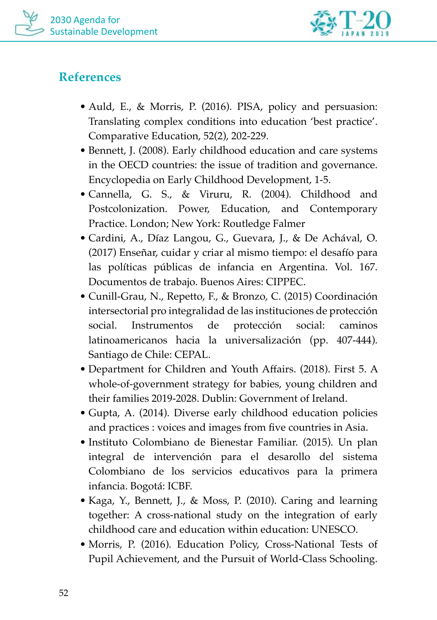



## **References**

- Auld, E., & Morris, P. (2016). PISA, policy and persuasion: Translating complex conditions into education 'best practice'. Comparative Education, 52(2), 202-229.
- Bennett, J. (2008). Early childhood education and care systems in the OECD countries: the issue of tradition and governance. Encyclopedia on Early Childhood Development, 1-5.
- Cannella, G. S., & Viruru, R. (2004). Childhood and Postcolonization. Power, Education, and Contemporary Practice. London; New York: Routledge Falmer
- Cardini, A., Díaz Langou, G., Guevara, J., & De Achával, O. (2017) Enseñar, cuidar y criar al mismo tiempo: el desafío para las políticas públicas de infancia en Argentina. Vol. 167. Documentos de trabajo. Buenos Aires: CIPPEC.
- Cunill-Grau, N., Repetto, F., & Bronzo, C. (2015) Coordinación intersectorial pro integralidad de las instituciones de protección social. Instrumentos de protección social: caminos latinoamericanos hacia la universalización (pp. 407-444). Santiago de Chile: CEPAL.
- Department for Children and Youth Affairs. (2018). First 5. A whole-of-government strategy for babies, young children and their families 2019-2028. Dublin: Government of Ireland.
- Gupta, A. (2014). Diverse early childhood education policies and practices : voices and images from five countries in Asia.
- Instituto Colombiano de Bienestar Familiar. (2015). Un plan integral de intervención para el desarollo del sistema Colombiano de los servicios educativos para la primera infancia. Bogotá: ICBF.
- Kaga, Y., Bennett, J., & Moss, P. (2010). Caring and learning together: A cross-national study on the integration of early childhood care and education within education: UNESCO.
- Morris, P. (2016). Education Policy, Cross-National Tests of Pupil Achievement, and the Pursuit of World-Class Schooling.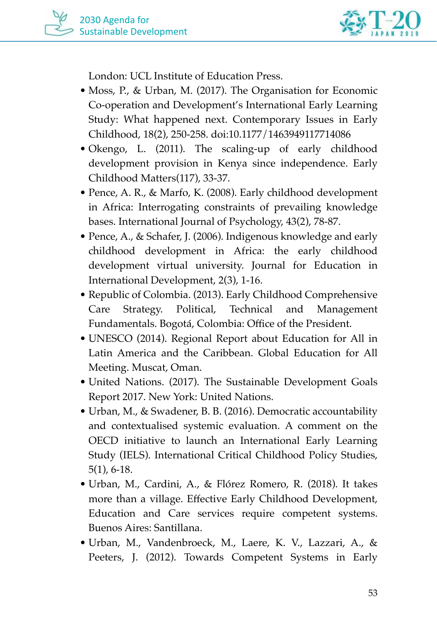

London: UCL Institute of Education Press.

- Moss, P., & Urban, M. (2017). The Organisation for Economic Co-operation and Development's International Early Learning Study: What happened next. Contemporary Issues in Early Childhood, 18(2), 250-258. doi:10.1177/1463949117714086
- Okengo, L. (2011). The scaling-up of early childhood development provision in Kenya since independence. Early Childhood Matters(117), 33-37.
- Pence, A. R., & Marfo, K. (2008). Early childhood development in Africa: Interrogating constraints of prevailing knowledge bases. International Journal of Psychology, 43(2), 78-87.
- Pence, A., & Schafer, J. (2006). Indigenous knowledge and early childhood development in Africa: the early childhood development virtual university. Journal for Education in International Development, 2(3), 1-16.
- Republic of Colombia. (2013). Early Childhood Comprehensive Care Strategy. Political, Technical and Management Fundamentals. Bogotá, Colombia: Office of the President.
- UNESCO (2014). Regional Report about Education for All in Latin America and the Caribbean. Global Education for All Meeting. Muscat, Oman.
- United Nations. (2017). The Sustainable Development Goals Report 2017. New York: United Nations.
- Urban, M., & Swadener, B. B. (2016). Democratic accountability and contextualised systemic evaluation. A comment on the OECD initiative to launch an International Early Learning Study (IELS). International Critical Childhood Policy Studies, 5(1), 6-18.
- Urban, M., Cardini, A., & Flórez Romero, R. (2018). It takes more than a village. Effective Early Childhood Development, Education and Care services require competent systems. Buenos Aires: Santillana.
- Urban, M., Vandenbroeck, M., Laere, K. V., Lazzari, A., & Peeters, J. (2012). Towards Competent Systems in Early